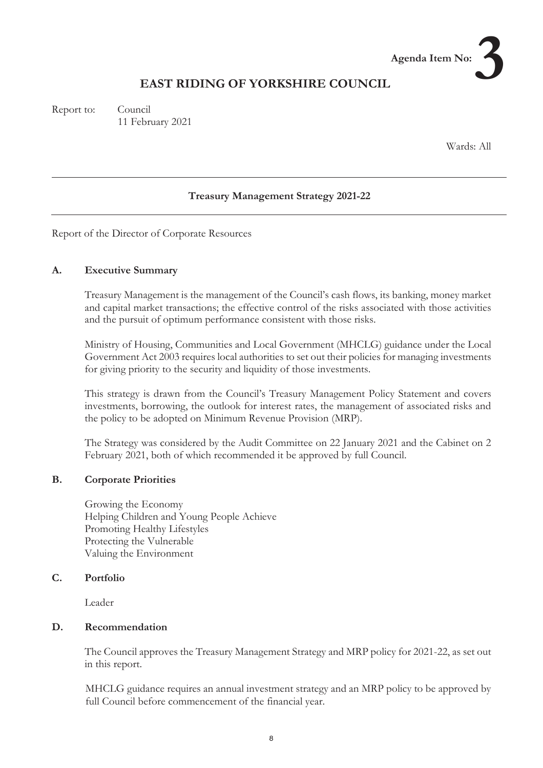# **EAST RIDING OF YORKSHIRE COUNCIL**

Report to: Council 11 February 2021

Wards: All

**No:3** 

**Agenda Item No:** 

#### **Treasury Management Strategy 2021-22**

Report of the Director of Corporate Resources

#### **A. Executive Summary**

Treasury Management is the management of the Council's cash flows, its banking, money market and capital market transactions; the effective control of the risks associated with those activities and the pursuit of optimum performance consistent with those risks.

Ministry of Housing, Communities and Local Government (MHCLG) guidance under the Local Government Act 2003 requires local authorities to set out their policies for managing investments for giving priority to the security and liquidity of those investments.

This strategy is drawn from the Council's Treasury Management Policy Statement and covers investments, borrowing, the outlook for interest rates, the management of associated risks and the policy to be adopted on Minimum Revenue Provision (MRP).

The Strategy was considered by the Audit Committee on 22 January 2021 and the Cabinet on 2 February 2021, both of which recommended it be approved by full Council.

#### **B. Corporate Priorities**

Growing the Economy Helping Children and Young People Achieve Promoting Healthy Lifestyles Protecting the Vulnerable Valuing the Environment

#### **C. Portfolio**

Leader

#### **D. Recommendation**

The Council approves the Treasury Management Strategy and MRP policy for 2021-22, as set out in this report.

MHCLG guidance requires an annual investment strategy and an MRP policy to be approved by full Council before commencement of the financial year.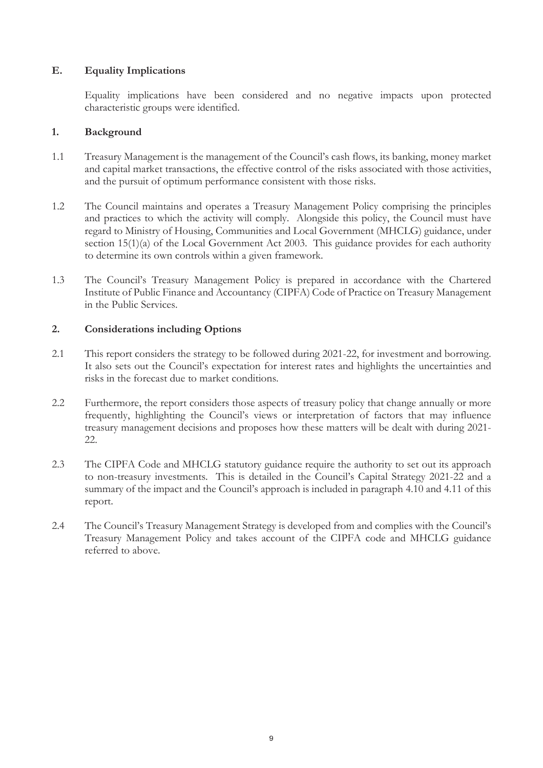# **E. Equality Implications**

Equality implications have been considered and no negative impacts upon protected characteristic groups were identified.

#### **1. Background**

- 1.1 Treasury Management is the management of the Council's cash flows, its banking, money market and capital market transactions, the effective control of the risks associated with those activities, and the pursuit of optimum performance consistent with those risks.
- 1.2 The Council maintains and operates a Treasury Management Policy comprising the principles and practices to which the activity will comply. Alongside this policy, the Council must have regard to Ministry of Housing, Communities and Local Government (MHCLG) guidance, under section 15(1)(a) of the Local Government Act 2003. This guidance provides for each authority to determine its own controls within a given framework.
- 1.3 The Council's Treasury Management Policy is prepared in accordance with the Chartered Institute of Public Finance and Accountancy (CIPFA) Code of Practice on Treasury Management in the Public Services.

# **2. Considerations including Options**

- 2.1 This report considers the strategy to be followed during 2021-22, for investment and borrowing. It also sets out the Council's expectation for interest rates and highlights the uncertainties and risks in the forecast due to market conditions.
- 2.2 Furthermore, the report considers those aspects of treasury policy that change annually or more frequently, highlighting the Council's views or interpretation of factors that may influence treasury management decisions and proposes how these matters will be dealt with during 2021- 22.
- 2.3 The CIPFA Code and MHCLG statutory guidance require the authority to set out its approach to non-treasury investments. This is detailed in the Council's Capital Strategy 2021-22 and a summary of the impact and the Council's approach is included in paragraph 4.10 and 4.11 of this report.
- 2.4 The Council's Treasury Management Strategy is developed from and complies with the Council's Treasury Management Policy and takes account of the CIPFA code and MHCLG guidance referred to above.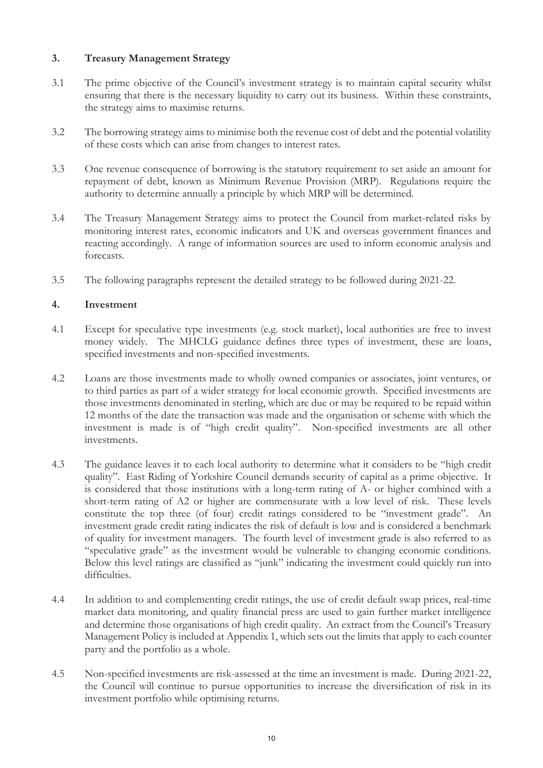# **3. Treasury Management Strategy**

- 3.1 The prime objective of the Council's investment strategy is to maintain capital security whilst ensuring that there is the necessary liquidity to carry out its business. Within these constraints, the strategy aims to maximise returns.
- 3.2 The borrowing strategy aims to minimise both the revenue cost of debt and the potential volatility of these costs which can arise from changes to interest rates.
- 3.3 One revenue consequence of borrowing is the statutory requirement to set aside an amount for repayment of debt, known as Minimum Revenue Provision (MRP). Regulations require the authority to determine annually a principle by which MRP will be determined.
- 3.4 The Treasury Management Strategy aims to protect the Council from market-related risks by monitoring interest rates, economic indicators and UK and overseas government finances and reacting accordingly. A range of information sources are used to inform economic analysis and forecasts.
- 3.5 The following paragraphs represent the detailed strategy to be followed during 2021-22.

# **4. Investment**

- 4.1 Except for speculative type investments (e.g. stock market), local authorities are free to invest money widely. The MHCLG guidance defines three types of investment, these are loans, specified investments and non-specified investments.
- 4.2 Loans are those investments made to wholly owned companies or associates, joint ventures, or to third parties as part of a wider strategy for local economic growth. Specified investments are those investments denominated in sterling, which are due or may be required to be repaid within 12 months of the date the transaction was made and the organisation or scheme with which the investment is made is of "high credit quality". Non-specified investments are all other investments.
- 4.3 The guidance leaves it to each local authority to determine what it considers to be "high credit quality". East Riding of Yorkshire Council demands security of capital as a prime objective. It is considered that those institutions with a long-term rating of A- or higher combined with a short-term rating of A2 or higher are commensurate with a low level of risk. These levels constitute the top three (of four) credit ratings considered to be "investment grade". An investment grade credit rating indicates the risk of default is low and is considered a benchmark of quality for investment managers. The fourth level of investment grade is also referred to as "speculative grade" as the investment would be vulnerable to changing economic conditions. Below this level ratings are classified as "junk" indicating the investment could quickly run into difficulties.
- 4.4 In addition to and complementing credit ratings, the use of credit default swap prices, real-time market data monitoring, and quality financial press are used to gain further market intelligence and determine those organisations of high credit quality. An extract from the Council's Treasury Management Policy is included at Appendix 1, which sets out the limits that apply to each counter party and the portfolio as a whole.
- 4.5 Non-specified investments are risk-assessed at the time an investment is made. During 2021-22, the Council will continue to pursue opportunities to increase the diversification of risk in its investment portfolio while optimising returns.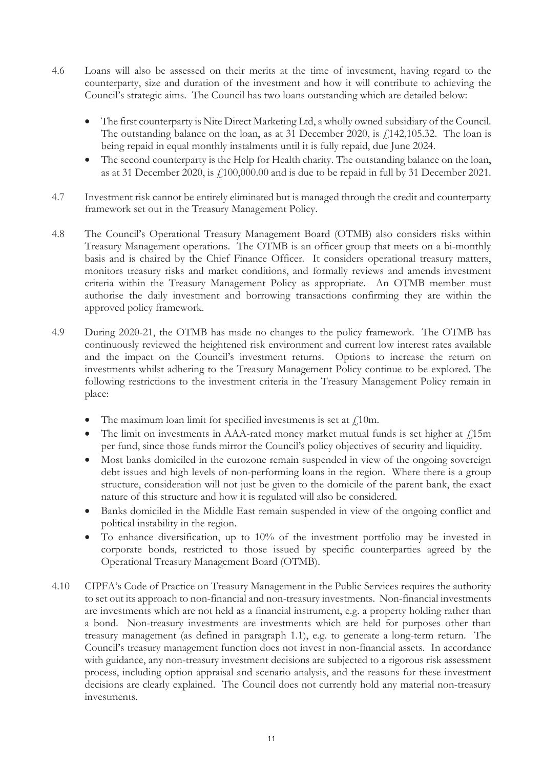- 4.6 Loans will also be assessed on their merits at the time of investment, having regard to the counterparty, size and duration of the investment and how it will contribute to achieving the Council's strategic aims. The Council has two loans outstanding which are detailed below:
	- The first counterparty is Nite Direct Marketing Ltd, a wholly owned subsidiary of the Council. The outstanding balance on the loan, as at 31 December 2020, is  $f<sub>1</sub>142,105.32$ . The loan is being repaid in equal monthly instalments until it is fully repaid, due June 2024.
	- The second counterparty is the Help for Health charity. The outstanding balance on the loan, as at 31 December 2020, is £100,000.00 and is due to be repaid in full by 31 December 2021.
- 4.7 Investment risk cannot be entirely eliminated but is managed through the credit and counterparty framework set out in the Treasury Management Policy.
- 4.8 The Council's Operational Treasury Management Board (OTMB) also considers risks within Treasury Management operations. The OTMB is an officer group that meets on a bi-monthly basis and is chaired by the Chief Finance Officer. It considers operational treasury matters, monitors treasury risks and market conditions, and formally reviews and amends investment criteria within the Treasury Management Policy as appropriate. An OTMB member must authorise the daily investment and borrowing transactions confirming they are within the approved policy framework.
- 4.9 During 2020-21, the OTMB has made no changes to the policy framework. The OTMB has continuously reviewed the heightened risk environment and current low interest rates available and the impact on the Council's investment returns. Options to increase the return on investments whilst adhering to the Treasury Management Policy continue to be explored. The following restrictions to the investment criteria in the Treasury Management Policy remain in place:
	- The maximum loan limit for specified investments is set at  $\ell$ 10m.
	- The limit on investments in AAA-rated money market mutual funds is set higher at  $f$ 15m per fund, since those funds mirror the Council's policy objectives of security and liquidity.
	- Most banks domiciled in the eurozone remain suspended in view of the ongoing sovereign debt issues and high levels of non-performing loans in the region. Where there is a group structure, consideration will not just be given to the domicile of the parent bank, the exact nature of this structure and how it is regulated will also be considered.
	- Banks domiciled in the Middle East remain suspended in view of the ongoing conflict and political instability in the region.
	- $\bullet$  To enhance diversification, up to 10% of the investment portfolio may be invested in corporate bonds, restricted to those issued by specific counterparties agreed by the Operational Treasury Management Board (OTMB).
- 4.10 CIPFA's Code of Practice on Treasury Management in the Public Services requires the authority to set out its approach to non-financial and non-treasury investments. Non-financial investments are investments which are not held as a financial instrument, e.g. a property holding rather than a bond. Non-treasury investments are investments which are held for purposes other than treasury management (as defined in paragraph 1.1), e.g. to generate a long-term return. The Council's treasury management function does not invest in non-financial assets. In accordance with guidance, any non-treasury investment decisions are subjected to a rigorous risk assessment process, including option appraisal and scenario analysis, and the reasons for these investment decisions are clearly explained. The Council does not currently hold any material non-treasury investments.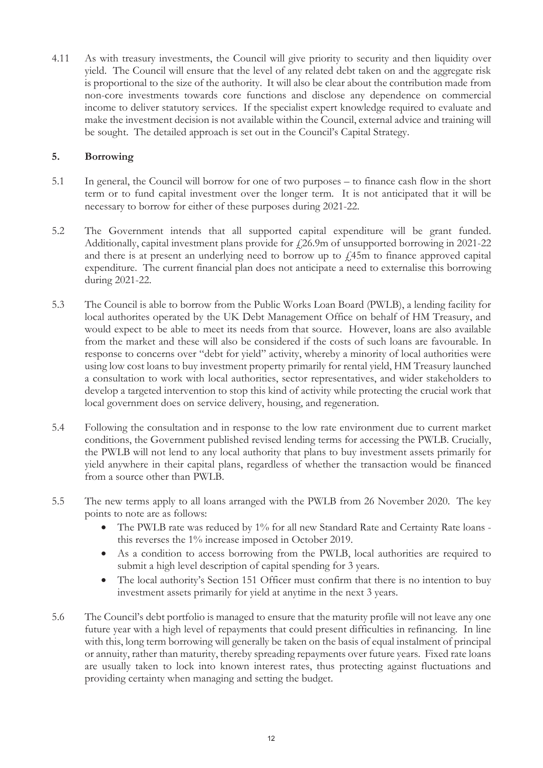4.11 As with treasury investments, the Council will give priority to security and then liquidity over yield. The Council will ensure that the level of any related debt taken on and the aggregate risk is proportional to the size of the authority. It will also be clear about the contribution made from non-core investments towards core functions and disclose any dependence on commercial income to deliver statutory services. If the specialist expert knowledge required to evaluate and make the investment decision is not available within the Council, external advice and training will be sought. The detailed approach is set out in the Council's Capital Strategy.

#### **5. Borrowing**

- 5.1 In general, the Council will borrow for one of two purposes to finance cash flow in the short term or to fund capital investment over the longer term. It is not anticipated that it will be necessary to borrow for either of these purposes during 2021-22.
- 5.2 The Government intends that all supported capital expenditure will be grant funded. Additionally, capital investment plans provide for  $\ell$ 26.9m of unsupported borrowing in 2021-22 and there is at present an underlying need to borrow up to  $\ell$ 45m to finance approved capital expenditure. The current financial plan does not anticipate a need to externalise this borrowing during 2021-22.
- 5.3 The Council is able to borrow from the Public Works Loan Board (PWLB), a lending facility for local authorites operated by the UK Debt Management Office on behalf of HM Treasury, and would expect to be able to meet its needs from that source. However, loans are also available from the market and these will also be considered if the costs of such loans are favourable. In response to concerns over "debt for yield" activity, whereby a minority of local authorities were using low cost loans to buy investment property primarily for rental yield, HM Treasury launched a consultation to work with local authorities, sector representatives, and wider stakeholders to develop a targeted intervention to stop this kind of activity while protecting the crucial work that local government does on service delivery, housing, and regeneration.
- 5.4 Following the consultation and in response to the low rate environment due to current market conditions, the Government published revised lending terms for accessing the PWLB. Crucially, the PWLB will not lend to any local authority that plans to buy investment assets primarily for yield anywhere in their capital plans, regardless of whether the transaction would be financed from a source other than PWLB.
- 5.5 The new terms apply to all loans arranged with the PWLB from 26 November 2020. The key points to note are as follows:
	- The PWLB rate was reduced by 1% for all new Standard Rate and Certainty Rate loans this reverses the 1% increase imposed in October 2019.
	- As a condition to access borrowing from the PWLB, local authorities are required to submit a high level description of capital spending for 3 years.
	- The local authority's Section 151 Officer must confirm that there is no intention to buy investment assets primarily for yield at anytime in the next 3 years.
- 5.6 The Council's debt portfolio is managed to ensure that the maturity profile will not leave any one future year with a high level of repayments that could present difficulties in refinancing. In line with this, long term borrowing will generally be taken on the basis of equal instalment of principal or annuity, rather than maturity, thereby spreading repayments over future years. Fixed rate loans are usually taken to lock into known interest rates, thus protecting against fluctuations and providing certainty when managing and setting the budget.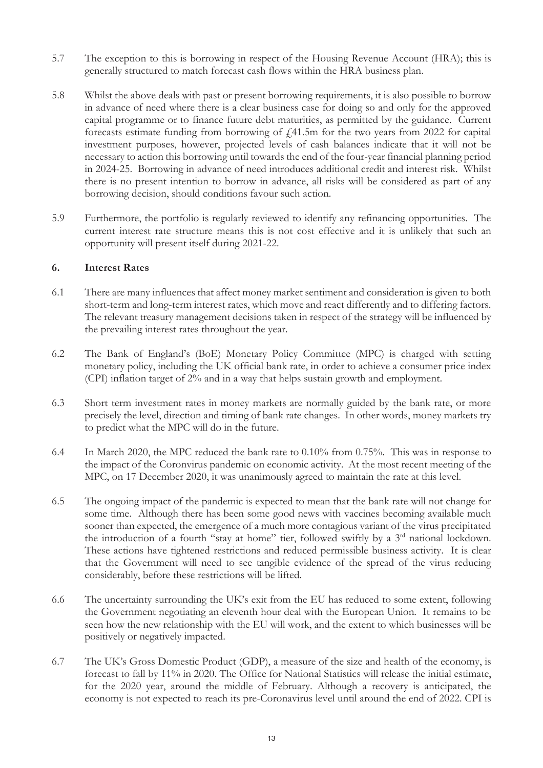- 5.7 The exception to this is borrowing in respect of the Housing Revenue Account (HRA); this is generally structured to match forecast cash flows within the HRA business plan.
- 5.8 Whilst the above deals with past or present borrowing requirements, it is also possible to borrow in advance of need where there is a clear business case for doing so and only for the approved capital programme or to finance future debt maturities, as permitted by the guidance. Current forecasts estimate funding from borrowing of £41.5m for the two years from 2022 for capital investment purposes, however, projected levels of cash balances indicate that it will not be necessary to action this borrowing until towards the end of the four-year financial planning period in 2024-25. Borrowing in advance of need introduces additional credit and interest risk. Whilst there is no present intention to borrow in advance, all risks will be considered as part of any borrowing decision, should conditions favour such action.
- 5.9 Furthermore, the portfolio is regularly reviewed to identify any refinancing opportunities. The current interest rate structure means this is not cost effective and it is unlikely that such an opportunity will present itself during 2021-22.

#### **6. Interest Rates**

- 6.1 There are many influences that affect money market sentiment and consideration is given to both short-term and long-term interest rates, which move and react differently and to differing factors. The relevant treasury management decisions taken in respect of the strategy will be influenced by the prevailing interest rates throughout the year.
- 6.2 The Bank of England's (BoE) Monetary Policy Committee (MPC) is charged with setting monetary policy, including the UK official bank rate, in order to achieve a consumer price index (CPI) inflation target of 2% and in a way that helps sustain growth and employment.
- 6.3 Short term investment rates in money markets are normally guided by the bank rate, or more precisely the level, direction and timing of bank rate changes. In other words, money markets try to predict what the MPC will do in the future.
- 6.4 In March 2020, the MPC reduced the bank rate to 0.10% from 0.75%. This was in response to the impact of the Coronvirus pandemic on economic activity. At the most recent meeting of the MPC, on 17 December 2020, it was unanimously agreed to maintain the rate at this level.
- 6.5 The ongoing impact of the pandemic is expected to mean that the bank rate will not change for some time. Although there has been some good news with vaccines becoming available much sooner than expected, the emergence of a much more contagious variant of the virus precipitated the introduction of a fourth "stay at home" tier, followed swiftly by a 3<sup>rd</sup> national lockdown. These actions have tightened restrictions and reduced permissible business activity. It is clear that the Government will need to see tangible evidence of the spread of the virus reducing considerably, before these restrictions will be lifted.
- 6.6 The uncertainty surrounding the UK's exit from the EU has reduced to some extent, following the Government negotiating an eleventh hour deal with the European Union. It remains to be seen how the new relationship with the EU will work, and the extent to which businesses will be positively or negatively impacted.
- 6.7 The UK's Gross Domestic Product (GDP), a measure of the size and health of the economy, is forecast to fall by 11% in 2020. The Office for National Statistics will release the initial estimate, for the 2020 year, around the middle of February. Although a recovery is anticipated, the economy is not expected to reach its pre-Coronavirus level until around the end of 2022. CPI is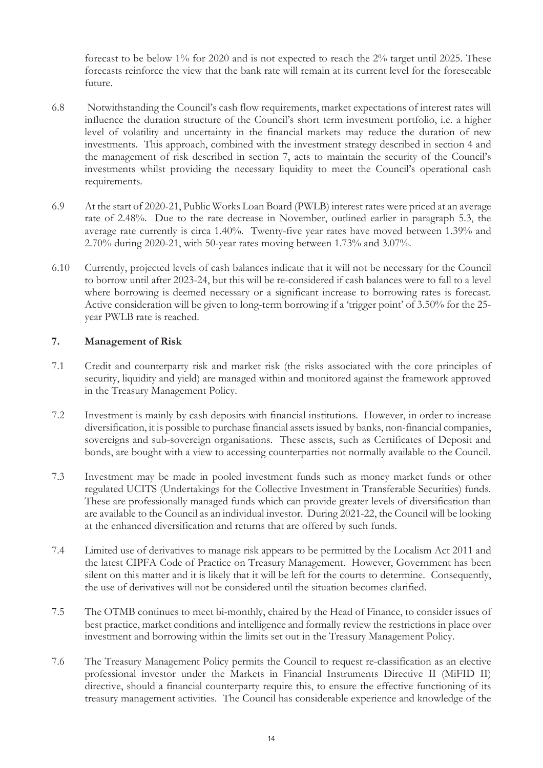forecast to be below 1% for 2020 and is not expected to reach the 2% target until 2025. These forecasts reinforce the view that the bank rate will remain at its current level for the foreseeable future.

- 6.8 Notwithstanding the Council's cash flow requirements, market expectations of interest rates will influence the duration structure of the Council's short term investment portfolio, i.e. a higher level of volatility and uncertainty in the financial markets may reduce the duration of new investments. This approach, combined with the investment strategy described in section 4 and the management of risk described in section 7, acts to maintain the security of the Council's investments whilst providing the necessary liquidity to meet the Council's operational cash requirements.
- 6.9 At the start of 2020-21, Public Works Loan Board (PWLB) interest rates were priced at an average rate of 2.48%. Due to the rate decrease in November, outlined earlier in paragraph 5.3, the average rate currently is circa 1.40%. Twenty-five year rates have moved between 1.39% and 2.70% during 2020-21, with 50-year rates moving between 1.73% and 3.07%.
- 6.10 Currently, projected levels of cash balances indicate that it will not be necessary for the Council to borrow until after 2023-24, but this will be re-considered if cash balances were to fall to a level where borrowing is deemed necessary or a significant increase to borrowing rates is forecast. Active consideration will be given to long-term borrowing if a 'trigger point' of 3.50% for the 25 year PWLB rate is reached.

#### **7. Management of Risk**

- 7.1 Credit and counterparty risk and market risk (the risks associated with the core principles of security, liquidity and yield) are managed within and monitored against the framework approved in the Treasury Management Policy.
- 7.2 Investment is mainly by cash deposits with financial institutions. However, in order to increase diversification, it is possible to purchase financial assets issued by banks, non-financial companies, sovereigns and sub-sovereign organisations. These assets, such as Certificates of Deposit and bonds, are bought with a view to accessing counterparties not normally available to the Council.
- 7.3 Investment may be made in pooled investment funds such as money market funds or other regulated UCITS (Undertakings for the Collective Investment in Transferable Securities) funds. These are professionally managed funds which can provide greater levels of diversification than are available to the Council as an individual investor. During 2021-22, the Council will be looking at the enhanced diversification and returns that are offered by such funds.
- 7.4 Limited use of derivatives to manage risk appears to be permitted by the Localism Act 2011 and the latest CIPFA Code of Practice on Treasury Management. However, Government has been silent on this matter and it is likely that it will be left for the courts to determine. Consequently, the use of derivatives will not be considered until the situation becomes clarified.
- 7.5 The OTMB continues to meet bi-monthly, chaired by the Head of Finance, to consider issues of best practice, market conditions and intelligence and formally review the restrictions in place over investment and borrowing within the limits set out in the Treasury Management Policy.
- 7.6 The Treasury Management Policy permits the Council to request re-classification as an elective professional investor under the Markets in Financial Instruments Directive II (MiFID II) directive, should a financial counterparty require this, to ensure the effective functioning of its treasury management activities. The Council has considerable experience and knowledge of the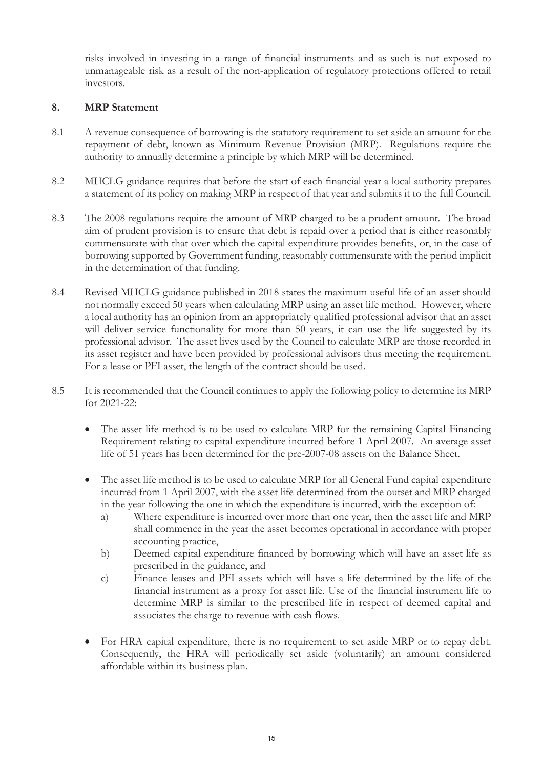risks involved in investing in a range of financial instruments and as such is not exposed to unmanageable risk as a result of the non-application of regulatory protections offered to retail investors.

# **8. MRP Statement**

- 8.1 A revenue consequence of borrowing is the statutory requirement to set aside an amount for the repayment of debt, known as Minimum Revenue Provision (MRP). Regulations require the authority to annually determine a principle by which MRP will be determined.
- 8.2 MHCLG guidance requires that before the start of each financial year a local authority prepares a statement of its policy on making MRP in respect of that year and submits it to the full Council.
- 8.3 The 2008 regulations require the amount of MRP charged to be a prudent amount. The broad aim of prudent provision is to ensure that debt is repaid over a period that is either reasonably commensurate with that over which the capital expenditure provides benefits, or, in the case of borrowing supported by Government funding, reasonably commensurate with the period implicit in the determination of that funding.
- 8.4 Revised MHCLG guidance published in 2018 states the maximum useful life of an asset should not normally exceed 50 years when calculating MRP using an asset life method. However, where a local authority has an opinion from an appropriately qualified professional advisor that an asset will deliver service functionality for more than 50 years, it can use the life suggested by its professional advisor. The asset lives used by the Council to calculate MRP are those recorded in its asset register and have been provided by professional advisors thus meeting the requirement. For a lease or PFI asset, the length of the contract should be used.
- 8.5 It is recommended that the Council continues to apply the following policy to determine its MRP for 2021-22:
	- The asset life method is to be used to calculate MRP for the remaining Capital Financing Requirement relating to capital expenditure incurred before 1 April 2007. An average asset life of 51 years has been determined for the pre-2007-08 assets on the Balance Sheet.
	- The asset life method is to be used to calculate MRP for all General Fund capital expenditure incurred from 1 April 2007, with the asset life determined from the outset and MRP charged in the year following the one in which the expenditure is incurred, with the exception of:
		- a) Where expenditure is incurred over more than one year, then the asset life and MRP shall commence in the year the asset becomes operational in accordance with proper accounting practice,
		- b) Deemed capital expenditure financed by borrowing which will have an asset life as prescribed in the guidance, and
		- c) Finance leases and PFI assets which will have a life determined by the life of the financial instrument as a proxy for asset life. Use of the financial instrument life to determine MRP is similar to the prescribed life in respect of deemed capital and associates the charge to revenue with cash flows.
	- For HRA capital expenditure, there is no requirement to set aside MRP or to repay debt. Consequently, the HRA will periodically set aside (voluntarily) an amount considered affordable within its business plan.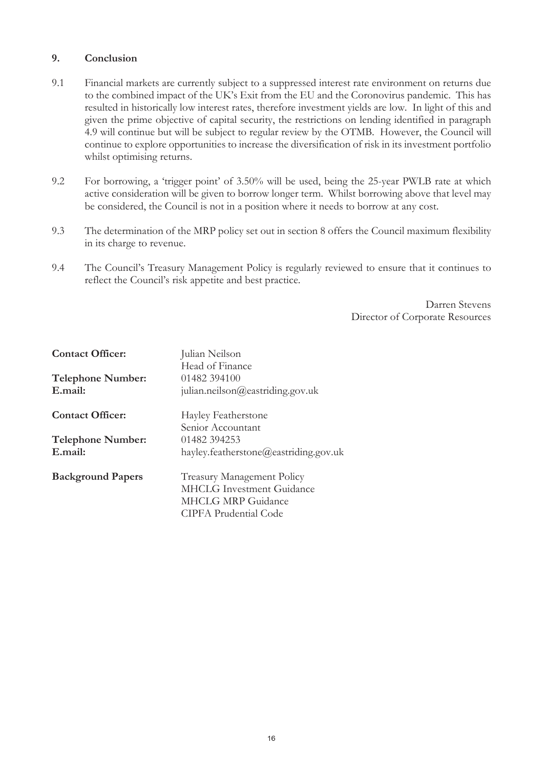# **9. Conclusion**

- 9.1 Financial markets are currently subject to a suppressed interest rate environment on returns due to the combined impact of the UK's Exit from the EU and the Coronovirus pandemic. This has resulted in historically low interest rates, therefore investment yields are low. In light of this and given the prime objective of capital security, the restrictions on lending identified in paragraph 4.9 will continue but will be subject to regular review by the OTMB. However, the Council will continue to explore opportunities to increase the diversification of risk in its investment portfolio whilst optimising returns.
- 9.2 For borrowing, a 'trigger point' of 3.50% will be used, being the 25-year PWLB rate at which active consideration will be given to borrow longer term. Whilst borrowing above that level may be considered, the Council is not in a position where it needs to borrow at any cost.
- 9.3 The determination of the MRP policy set out in section 8 offers the Council maximum flexibility in its charge to revenue.
- 9.4 The Council's Treasury Management Policy is regularly reviewed to ensure that it continues to reflect the Council's risk appetite and best practice.

Darren Stevens Director of Corporate Resources

| <b>Contact Officer:</b>  | Julian Neilson                        |
|--------------------------|---------------------------------------|
|                          | Head of Finance                       |
| <b>Telephone Number:</b> | 01482 394100                          |
| E.mail:                  | julian.neilson@eastriding.gov.uk      |
| <b>Contact Officer:</b>  | Hayley Featherstone                   |
|                          | Senior Accountant                     |
| <b>Telephone Number:</b> | 01482 394253                          |
| E.mail:                  | hayley.featherstone@eastriding.gov.uk |
| <b>Background Papers</b> | <b>Treasury Management Policy</b>     |
|                          | <b>MHCLG</b> Investment Guidance      |
|                          | <b>MHCLG MRP Guidance</b>             |
|                          | <b>CIPFA Prudential Code</b>          |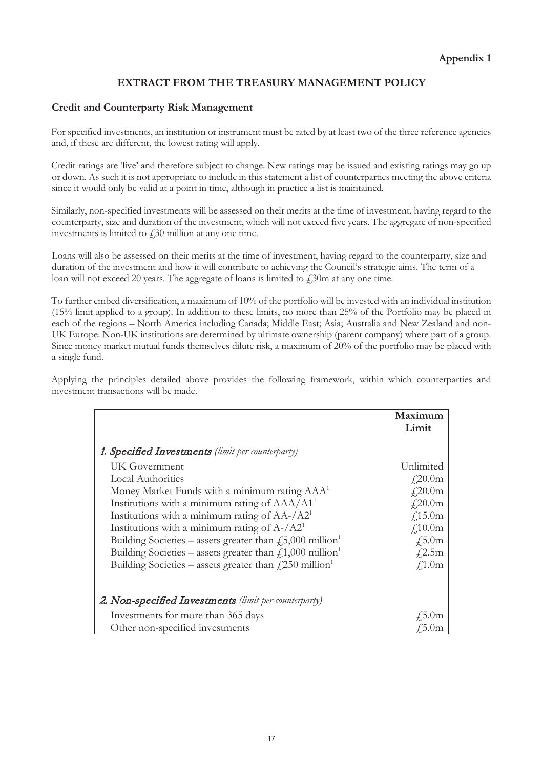# **EXTRACT FROM THE TREASURY MANAGEMENT POLICY**

#### **Credit and Counterparty Risk Management**

For specified investments, an institution or instrument must be rated by at least two of the three reference agencies and, if these are different, the lowest rating will apply.

Credit ratings are 'live' and therefore subject to change. New ratings may be issued and existing ratings may go up or down. As such it is not appropriate to include in this statement a list of counterparties meeting the above criteria since it would only be valid at a point in time, although in practice a list is maintained.

Similarly, non-specified investments will be assessed on their merits at the time of investment, having regard to the counterparty, size and duration of the investment, which will not exceed five years. The aggregate of non-specified investments is limited to  $\angle$  30 million at any one time.

Loans will also be assessed on their merits at the time of investment, having regard to the counterparty, size and duration of the investment and how it will contribute to achieving the Council's strategic aims. The term of a loan will not exceed 20 years. The aggregate of loans is limited to  $\ell$ 30m at any one time.

To further embed diversification, a maximum of 10% of the portfolio will be invested with an individual institution (15% limit applied to a group). In addition to these limits, no more than 25% of the Portfolio may be placed in each of the regions – North America including Canada; Middle East; Asia; Australia and New Zealand and non-UK Europe. Non-UK institutions are determined by ultimate ownership (parent company) where part of a group. Since money market mutual funds themselves dilute risk, a maximum of 20% of the portfolio may be placed with a single fund.

Applying the principles detailed above provides the following framework, within which counterparties and investment transactions will be made.

|                                                                             | Maximum<br>Limit   |
|-----------------------------------------------------------------------------|--------------------|
| <b>1. Specified Investments</b> (limit per counterparty)                    |                    |
| UK Government                                                               | Unlimited          |
| <b>Local Authorities</b>                                                    | $f_{1,2}^{20.0}$ m |
| Money Market Funds with a minimum rating AAA <sup>1</sup>                   | $f$ ,20.0m         |
| Institutions with a minimum rating of AAA/A1 <sup>1</sup>                   | $f$ ,20.0m         |
| Institutions with a minimum rating of $AA$ -/ $A21$                         | £,15.0m            |
| Institutions with a minimum rating of $A$ -/ $A21$                          | $f_{10.0m}$        |
| Building Societies – assets greater than $f_1$ , 5,000 million <sup>1</sup> | $\sqrt{.5.0m}$     |
| Building Societies – assets greater than $f1,000$ million <sup>1</sup>      | $f$ 2.5m           |
| Building Societies – assets greater than $\ell$ , 250 million <sup>1</sup>  | $f$ 1.0m           |
| 2. Non-specified Investments (limit per counterparty)                       |                    |
| Investments for more than 365 days                                          | $\pm 5.0m$         |
| Other non-specified investments                                             | 45.0m              |